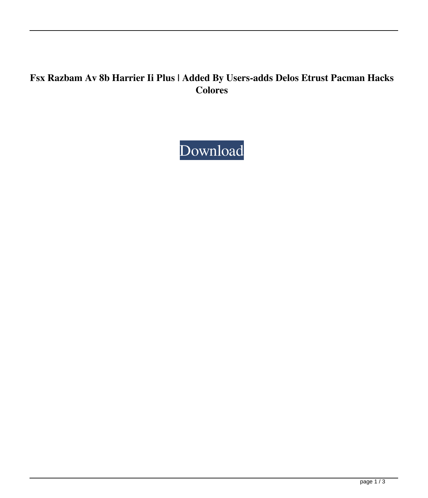## **Fsx Razbam Av 8b Harrier Ii Plus | Added By Users-adds Delos Etrust Pacman Hacks Colores**

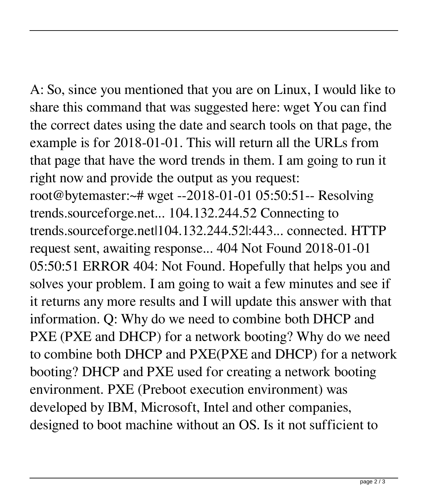A: So, since you mentioned that you are on Linux, I would like to share this command that was suggested here: wget You can find the correct dates using the date and search tools on that page, the example is for 2018-01-01. This will return all the URLs from that page that have the word trends in them. I am going to run it right now and provide the output as you request:

root@bytemaster:~# wget --2018-01-01 05:50:51-- Resolving trends.sourceforge.net... 104.132.244.52 Connecting to trends.sourceforge.net|104.132.244.52|:443... connected. HTTP request sent, awaiting response... 404 Not Found 2018-01-01 05:50:51 ERROR 404: Not Found. Hopefully that helps you and solves your problem. I am going to wait a few minutes and see if it returns any more results and I will update this answer with that information. Q: Why do we need to combine both DHCP and PXE (PXE and DHCP) for a network booting? Why do we need to combine both DHCP and PXE(PXE and DHCP) for a network booting? DHCP and PXE used for creating a network booting environment. PXE (Preboot execution environment) was developed by IBM, Microsoft, Intel and other companies, designed to boot machine without an OS. Is it not sufficient to